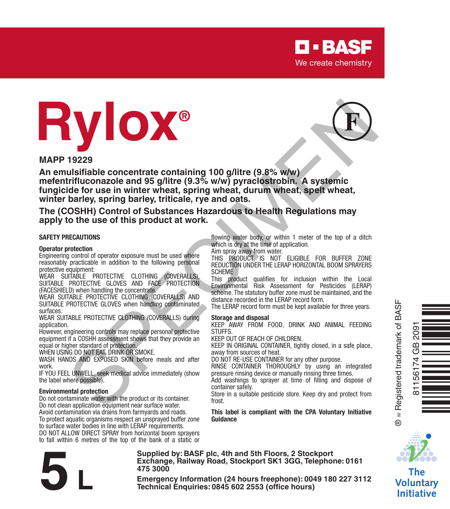

# **Rylox®**



**MAPP 19229**

**An emulsifiable concentrate containing 100 g/litre (9.8% w/w) mefentrifluconazole and 95 g/litre (9.3% w/w) pyraclostrobin. A systemic fungicide for use in winter wheat, spring wheat, durum wheat, spelt wheat, winter barley, spring barley, triticale, rye and oats. 19229**<br> **Strictles concentrate containing 100 giltire (9.8% with)**<br>
Ustrifficion and 95 giltire (9.3% with) pyraclostrobin. A systemic<br>
triffuceonazole and 95 giltire (9.3% with) pyraclostrobin. A systemic<br>
triffuceonazol

**The (COSHH) Control of Substances Hazardous to Health Regulations may apply to the use of this product at work.**

#### **SAFETY PRECAUTIONS**

#### **Operator protection**

Engineering control of operator exposure must be used where reasonably practicable in addition to the following personal protective equipment:

WEAR SUITABLE PROTECTIVE CLOTHING (COVERALLS), SUITABLE PROTECTIVE GLOVES AND FACE PROTECTION (FACESHIELD) when handling the concentrate.

WEAR SUITABLE PROTECTIVE CLOTHING (COVERALLS) AND SUITABLE PROTECTIVE GLOVES when handling contaminated surfaces.

WEAR SUITABLE PROTECTIVE CLOTHING (COVERALLS) during application.

However, engineering controls may replace personal protective equipment if a COSHH assessment shows that they provide an equal or higher standard of protection.

WHEN USING DO NOT EAT, DRINK OR SMOKE.

WASH HANDS AND EXPOSED SKIN before meals and after work.

IF YOU FEEL UNWELL, seek medical advice immediately (show the label where possible).

#### **Environmental protection**

Do not contaminate water with the product or its container. Do not clean application equipment near surface water.

Avoid contamination via drains from farmyards and roads. To protect aquatic organisms respect an unsprayed buffer zone to surface water bodies in line with LERAP requirements.

DO NOT ALLOW DIRECT SPRAY from horizontal boom sprayers to fall within 6 metres of the top of the bank of a static or

**Supplied by: BASF plc, 4th and 5th Floors, 2 Stockport 475 3000**

flowing water body, or within 1 meter of the top of a ditch which is dry at the time of application.

Aim spray away from water.

THIS PRODUCT IS NOT ELIGIBLE FOR BUFFER ZONE REDUCTION UNDER THE LERAP HORIZONTAL BOOM SPRAYERS SCHEME

This product qualifies for inclusion within the Local Environmental Risk Assessment for Pesticides (LERAP) scheme. The statutory buffer zone must be maintained, and the distance recorded in the LERAP record form.

The LERAP record form must be kept available for three years.

#### **Storage and disposal**

KEEP AWAY FROM FOOD, DRINK AND ANIMAL FEEDING STUFFS.

KEEP OUT OF REACH OF CHILDREN.

KEEP IN ORIGINAL CONTAINER, tightly closed, in a safe place, away from sources of heat.

DO NOT RE-USE CONTAINER for any other purpose.

RINSE CONTAINER THOROUGHLY by using an integrated pressure rinsing device or manually rinsing three times.

Add washings to sprayer at time of filling and dispose of container safely.

Store in a suitable pesticide store. Keep dry and protect from frost.

**This label is compliant with the CPA Voluntary Initiative Guidance**



Òq/]jmÓ

® = Registered trademark of BASF

 $^{\circ}$ 

81156174 GB 2091

The Voluntary **Initiative** 

Exchange, Railway Road, Stockport SK1 3GG, Telephone: 0161<br>
475 3000<br>
Emergency Information (24 hours freephone): 0049 180 227 3112<br>
Technical Enquiries: 0845 602 2553 (office hours)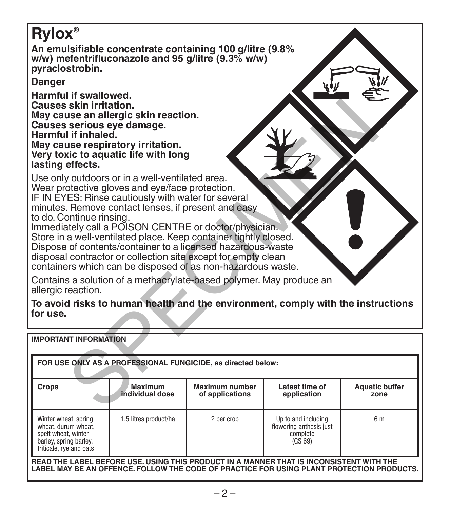# **Rylox®**

**An emulsifiable concentrate containing 100 g/litre (9.8% w/w) mefentrifluconazole and 95 g/litre (9.3% w/w) pyraclostrobin.**

**Danger**

**Harmful if swallowed. Causes skin irritation. May cause an allergic skin reaction. Causes serious eye damage. Harmful if inhaled. May cause respiratory irritation. Very toxic to aquatic life with long lasting effects.**

| Causes skin irritation.<br>May cause an allergic skin reaction.<br>Causes serious eye damage.<br>Harmful if inhaled.<br>May cause respiratory irritation.<br>Very toxic to aquatic life with long<br>lasting effects.                                                                                                                                                                                                                                                                                                                                                    |                            |                                   |                                                                       |                               |  |  |  |  |  |  |  |  |
|--------------------------------------------------------------------------------------------------------------------------------------------------------------------------------------------------------------------------------------------------------------------------------------------------------------------------------------------------------------------------------------------------------------------------------------------------------------------------------------------------------------------------------------------------------------------------|----------------------------|-----------------------------------|-----------------------------------------------------------------------|-------------------------------|--|--|--|--|--|--|--|--|
| Use only outdoors or in a well-ventilated area.<br>Wear protective gloves and eye/face protection.<br>IF IN EYES: Rinse cautiously with water for several<br>minutes. Remove contact lenses, if present and easy<br>to do. Continue rinsing.<br>Immediately call a POISON CENTRE or doctor/physician.<br>Store in a well-ventilated place. Keep container tightly closed.<br>Dispose of contents/container to a licensed hazardous-waste<br>disposal contractor or collection site except for empty clean<br>containers which can be disposed of as non-hazardous waste. |                            |                                   |                                                                       |                               |  |  |  |  |  |  |  |  |
| Contains a solution of a methacrylate-based polymer. May produce an<br>allergic reaction.                                                                                                                                                                                                                                                                                                                                                                                                                                                                                |                            |                                   |                                                                       |                               |  |  |  |  |  |  |  |  |
| To avoid risks to human health and the environment, comply with the instructions<br>for use.                                                                                                                                                                                                                                                                                                                                                                                                                                                                             |                            |                                   |                                                                       |                               |  |  |  |  |  |  |  |  |
| <b>IMPORTANT INFORMATION</b>                                                                                                                                                                                                                                                                                                                                                                                                                                                                                                                                             |                            |                                   |                                                                       |                               |  |  |  |  |  |  |  |  |
| FOR USE ONLY AS A PROFESSIONAL FUNGICIDE, as directed below:                                                                                                                                                                                                                                                                                                                                                                                                                                                                                                             |                            |                                   |                                                                       |                               |  |  |  |  |  |  |  |  |
| Crops                                                                                                                                                                                                                                                                                                                                                                                                                                                                                                                                                                    | Maximum<br>individual dose | Maximum number<br>of applications | Latest time of<br>application                                         | <b>Aquatic buffer</b><br>zone |  |  |  |  |  |  |  |  |
| Winter wheat, spring<br>wheat, durum wheat.<br>spelt wheat, winter<br>barley, spring barley,<br>triticale, rye and oats                                                                                                                                                                                                                                                                                                                                                                                                                                                  | 1.5 litres product/ha      | 2 per crop                        | Up to and including<br>flowering anthesis just<br>complete<br>(GS 69) | 6 m                           |  |  |  |  |  |  |  |  |

**READ THE LABEL BEFORE USE. USING THIS PRODUCT IN A MANNER THAT IS INCONSISTENT WITH THE LABEL MAY BE AN OFFENCE. FOLLOW THE CODE OF PRACTICE FOR USING PLANT PROTECTION PRODUCTS.**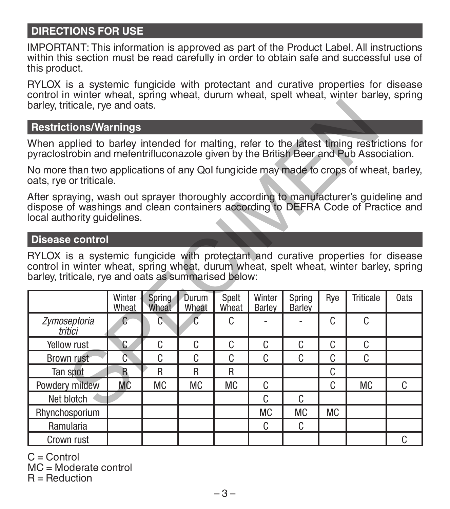# **DIRECTIONS FOR USE**

IMPORTANT: This information is approved as part of the Product Label. All instructions within this section must be read carefully in order to obtain safe and successful use of this product.

RYLOX is a systemic fungicide with protectant and curative properties for disease control in winter wheat, spring wheat, durum wheat, spelt wheat, winter barley, spring barley, triticale, rye and oats.

#### **Restrictions/Warnings**

#### **Disease control**

| barley, triticale, rye and oats.                                                                                                                                                                                                    |                 |                 |                |                |                  |                  |           |           |      |  |  |  |
|-------------------------------------------------------------------------------------------------------------------------------------------------------------------------------------------------------------------------------------|-----------------|-----------------|----------------|----------------|------------------|------------------|-----------|-----------|------|--|--|--|
| <b>Restrictions/Warnings</b>                                                                                                                                                                                                        |                 |                 |                |                |                  |                  |           |           |      |  |  |  |
| When applied to barley intended for malting, refer to the latest timing restrictions for<br>pyraclostrobin and mefentrifluconazole given by the British Beer and Pub Association.                                                   |                 |                 |                |                |                  |                  |           |           |      |  |  |  |
| No more than two applications of any Qol fungicide may made to crops of wheat, barley,<br>oats, rye or triticale.                                                                                                                   |                 |                 |                |                |                  |                  |           |           |      |  |  |  |
| After spraying, wash out sprayer thoroughly according to manufacturer's guideline and<br>dispose of washings and clean containers according to DEFRA Code of Practice and<br>local authority guidelines.                            |                 |                 |                |                |                  |                  |           |           |      |  |  |  |
| <b>Disease control</b>                                                                                                                                                                                                              |                 |                 |                |                |                  |                  |           |           |      |  |  |  |
| RYLOX is a systemic fungicide with protectant and curative properties for disease<br>control in winter wheat, spring wheat, durum wheat, spelt wheat, winter barley, spring<br>barley, triticale, rye and oats as summarised below: | Winter<br>Wheat | Spring<br>Wheat | Durum<br>Wheat | Spelt<br>Wheat | Winter<br>Barlev | Spring<br>Barley | Rye       | Triticale | 0ats |  |  |  |
| Zymoseptoria<br>tritici                                                                                                                                                                                                             | $\mathbf C$     | Ō.              | $\overline{C}$ | C.             |                  |                  | C.        | C         |      |  |  |  |
| <b>Yellow rust</b>                                                                                                                                                                                                                  | C               | C               | C.             | C              | C                | C                | C         | C         |      |  |  |  |
| <b>Brown rust</b>                                                                                                                                                                                                                   | ō               | C               | C              | C              | C                | C                | C         | C         |      |  |  |  |
| Tan spot                                                                                                                                                                                                                            | $\mathbf{R}$    | R               | R              | R              |                  |                  | C         |           |      |  |  |  |
| Powdery mildew                                                                                                                                                                                                                      | МC              | <b>MC</b>       | <b>MC</b>      | <b>MC</b>      | C                |                  | C         | <b>MC</b> | C.   |  |  |  |
| Net blotch                                                                                                                                                                                                                          |                 |                 |                |                | C                | C                |           |           |      |  |  |  |
| Rhynchosporium                                                                                                                                                                                                                      |                 |                 |                |                | МC               | <b>MC</b>        | <b>MC</b> |           |      |  |  |  |
| Ramularia                                                                                                                                                                                                                           |                 |                 |                |                | C                | C                |           |           |      |  |  |  |
| Crown rust                                                                                                                                                                                                                          |                 |                 |                |                |                  |                  |           |           | C    |  |  |  |

 $C =$  Control

MC = Moderate control

 $R =$  Reduction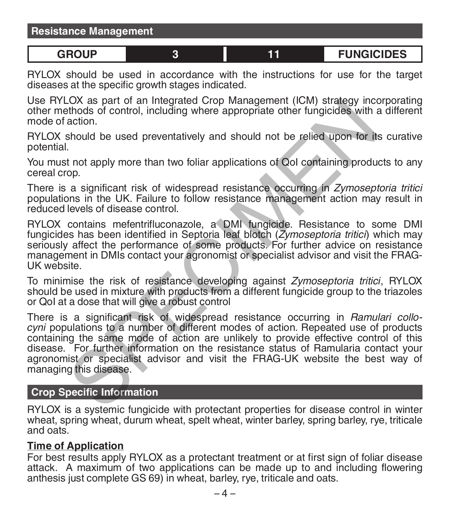# **GROUP 3 11 FUNGICIDES**

RYLOX should be used in accordance with the instructions for use for the target diseases at the specific growth stages indicated.

Use RYLOX as part of an Integrated Crop Management (ICM) strategy incorporating other methods of control, including where appropriate other fungicides with a different mode of action.

RYLOX should be used preventatively and should not be relied upon for its curative potential.

You must not apply more than two foliar applications of QoI containing products to any cereal crop.

There is a significant risk of widespread resistance occurring in *Zymoseptoria tritici* populations in the UK. Failure to follow resistance management action may result in reduced levels of disease control.

RYLOX contains mefentrifluconazole, a DMI fungicide. Resistance to some DMI fungicides has been identified in Septoria leaf blotch (*Zymoseptoria tritici*) which may seriously affect the performance of some products. For further advice on resistance management in DMIs contact your agronomist or specialist advisor and visit the FRAG-UK website.

To minimise the risk of resistance developing against *Zymoseptoria tritici*, RYLOX should be used in mixture with products from a different fungicide group to the triazoles or QoI at a dose that will give a robust control

There is a significant risk of widespread resistance occurring in *Ramulari collocyni* populations to a number of different modes of action. Repeated use of products containing the same mode of action are unlikely to provide effective control of this disease. For further information on the resistance status of Ramularia contact your agronomist or specialist advisor and visit the FRAG-UK website the best way of managing this disease. LOX as part of an integrated Crop Management (ICM) strategy incomparated with a<br>should be used preventatively and should not be relied upon for its<br>action.<br>About be used preventatively and should not be relied upon for its

### **Crop Specific Information**

RYLOX is a systemic fungicide with protectant properties for disease control in winter wheat, spring wheat, durum wheat, spelt wheat, winter barley, spring barley, rye, triticale and oats.

#### **Time of Application**

For best results apply RYLOX as a protectant treatment or at first sign of foliar disease attack. A maximum of two applications can be made up to and including flowering anthesis just complete GS 69) in wheat, barley, rye, triticale and oats.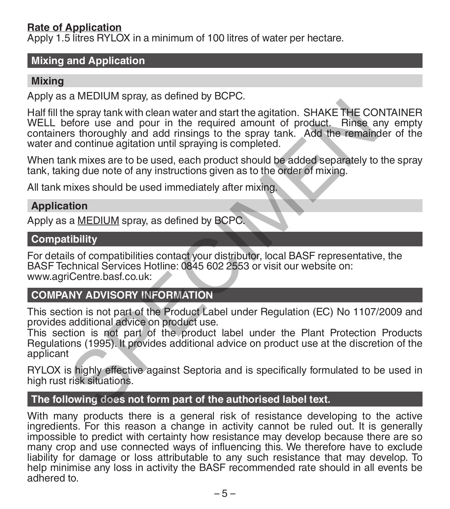# **Rate of Application**

Apply 1.5 litres RYLOX in a minimum of 100 litres of water per hectare.

# **Mixing and Application**

### **Mixing**

Apply as a MEDIUM spray, as defined by BCPC.

Half fill the spray tank with clean water and start the agitation. SHAKE THE CONTAINER WELL before use and pour in the required amount of product. Rinse any empty containers thoroughly and add rinsings to the spray tank. Add the remainder of the water and continue agitation until spraying is completed. is the pay tank with clean water and start the agitation. SHAKE THE CO<br>efore use and pour in the required amount of product. Rinse a<br>stratonoughly and add missings to the spay tank. Add the remains<br>of dominue agitation unt

When tank mixes are to be used, each product should be added separately to the spray tank, taking due note of any instructions given as to the order of mixing.

All tank mixes should be used immediately after mixing.

### **Application**

Apply as a MEDIUM spray, as defined by BCPC.

#### **Compatibility**

For details of compatibilities contact your distributor, local BASF representative, the BASF Technical Services Hotline: 0845 602 2553 or visit our website on: www.agriCentre.basf.co.uk:

# **COMPANY ADVISORY INFORMATION**

This section is not part of the Product Label under Regulation (EC) No 1107/2009 and provides additional advice on product use.

This section is not part of the product label under the Plant Protection Products Regulations (1995). It provides additional advice on product use at the discretion of the applicant

RYLOX is highly effective against Septoria and is specifically formulated to be used in high rust risk situations.

### **The following does not form part of the authorised label text.**

With many products there is a general risk of resistance developing to the active ingredients. For this reason a change in activity cannot be ruled out. It is generally impossible to predict with certainty how resistance may develop because there are so many crop and use connected ways of influencing this. We therefore have to exclude liability for damage or loss attributable to any such resistance that may develop. To help minimise any loss in activity the BASF recommended rate should in all events be adhered to.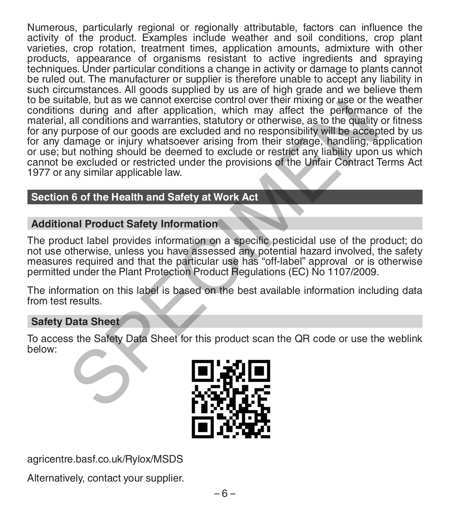Numerous, particularly regional or regionally attributable, factors can influence the activity of the product. Examples include weather and soil conditions, crop plant varieties, crop rotation, treatment times, application amounts, admixture with other products, appearance of organisms resistant to active ingredients and spraying techniques. Under particular conditions a change in activity or damage to plants cannot be ruled out. The manufacturer or supplier is therefore unable to accept any liability in such circumstances. All goods supplied by us are of high grade and we believe them to be suitable, but as we cannot exercise control over their mixing or use or the weather conditions during and after application, which may affect the performance of the material, all conditions and warranties, statutory or otherwise, as to the quality or fitness for any purpose of our goods are excluded and no responsibility will be accepted by us for any damage or injury whatsoever arising from their storage, handling, application or use; but nothing should be deemed to exclude or restrict any liability upon us which cannot be excluded or restricted under the provisions of the Unfair Contract Terms Act 1977 or any similar applicable law. Habie, but as we cannot exercise control over their mixing or use of the performance of our good are excluded and no responsibility will be accelered and conditions and warranties, statutory or otherwise, as to the quality

# **Section 6 of the Health and Safety at Work Act**

# **Additional Product Safety Information**

The product label provides information on a specific pesticidal use of the product; do not use otherwise, unless you have assessed any potential hazard involved, the safety measures required and that the particular use has "off-label" approval or is otherwise permitted under the Plant Protection Product Regulations (EC) No 1107/2009.

The information on this label is based on the best available information including data from test results.

### **Safety Data Sheet**

To access the Safety Data Sheet for this product scan the QR code or use the weblink below:



agricentre.basf.co.uk/Rylox/MSDS

Alternatively, contact your supplier.